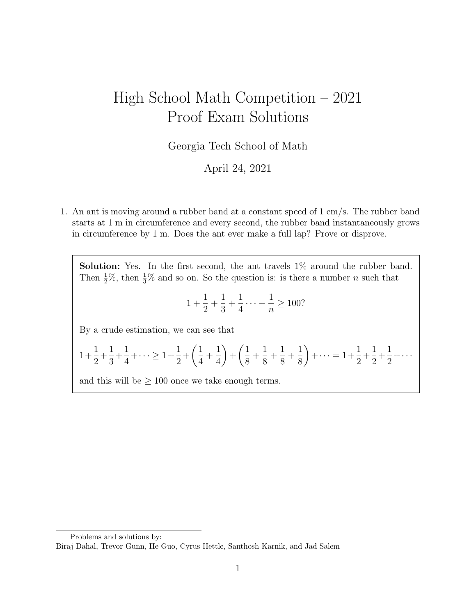## High School Math Competition – 2021 Proof Exam Solutions

Georgia Tech School of Math

April 24, 2021

1. An ant is moving around a rubber band at a constant speed of 1 cm/s. The rubber band starts at 1 m in circumference and every second, the rubber band instantaneously grows in circumference by 1 m. Does the ant ever make a full lap? Prove or disprove.

Solution: Yes. In the first second, the ant travels  $1\%$  around the rubber band. Then  $\frac{1}{2}\%$ , then  $\frac{1}{3}\%$  and so on. So the question is: is there a number *n* such that

$$
1 + \frac{1}{2} + \frac{1}{3} + \frac{1}{4} \dots + \frac{1}{n} \ge 100?
$$

By a crude estimation, we can see that

$$
1 + \frac{1}{2} + \frac{1}{3} + \frac{1}{4} + \dots \ge 1 + \frac{1}{2} + \left(\frac{1}{4} + \frac{1}{4}\right) + \left(\frac{1}{8} + \frac{1}{8} + \frac{1}{8} + \frac{1}{8}\right) + \dots = 1 + \frac{1}{2} + \frac{1}{2} + \frac{1}{2} + \dots
$$

and this will be  $\geq 100$  once we take enough terms.

Problems and solutions by: Biraj Dahal, Trevor Gunn, He Guo, Cyrus Hettle, Santhosh Karnik, and Jad Salem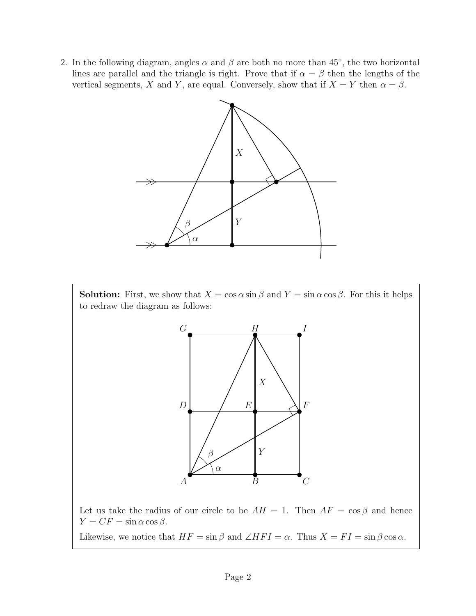2. In the following diagram, angles  $\alpha$  and  $\beta$  are both no more than 45°, the two horizontal lines are parallel and the triangle is right. Prove that if  $\alpha = \beta$  then the lengths of the vertical segments, X and Y, are equal. Conversely, show that if  $X = Y$  then  $\alpha = \beta$ .



**Solution:** First, we show that  $X = \cos \alpha \sin \beta$  and  $Y = \sin \alpha \cos \beta$ . For this it helps to redraw the diagram as follows:



Let us take the radius of our circle to be  $AH = 1$ . Then  $AF = \cos \beta$  and hence  $Y = CF = \sin \alpha \cos \beta$ . Likewise, we notice that  $HF = \sin \beta$  and  $\angle HFI = \alpha$ . Thus  $X = FI = \sin \beta \cos \alpha$ .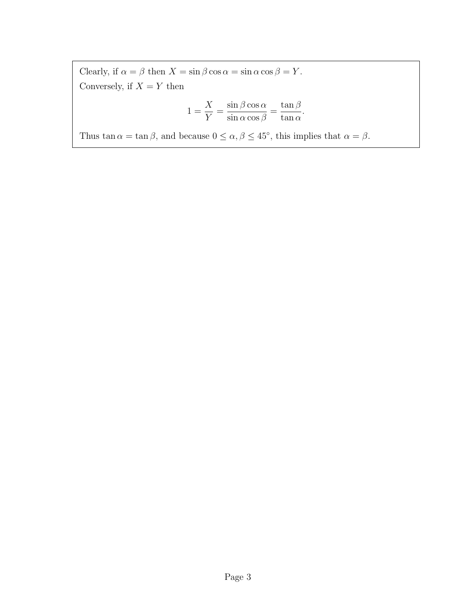Clearly, if  $\alpha = \beta$  then  $X = \sin \beta \cos \alpha = \sin \alpha \cos \beta = Y$ . Conversely, if  $X = Y$  then

$$
1 = \frac{X}{Y} = \frac{\sin \beta \cos \alpha}{\sin \alpha \cos \beta} = \frac{\tan \beta}{\tan \alpha}.
$$

Thus tan  $\alpha = \tan \beta$ , and because  $0 \leq \alpha, \beta \leq 45^{\degree}$ , this implies that  $\alpha = \beta$ .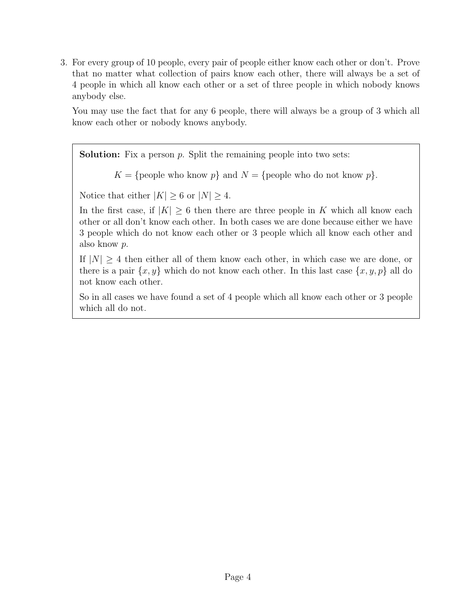3. For every group of 10 people, every pair of people either know each other or don't. Prove that no matter what collection of pairs know each other, there will always be a set of 4 people in which all know each other or a set of three people in which nobody knows anybody else.

You may use the fact that for any 6 people, there will always be a group of 3 which all know each other or nobody knows anybody.

**Solution:** Fix a person  $p$ . Split the remaining people into two sets:

 $K = \{ \text{people who know } p \}$  and  $N = \{ \text{people who do not know } p \}.$ 

Notice that either  $|K| \geq 6$  or  $|N| \geq 4$ .

In the first case, if  $|K| \geq 6$  then there are three people in K which all know each other or all don't know each other. In both cases we are done because either we have 3 people which do not know each other or 3 people which all know each other and also know p.

If  $|N| \geq 4$  then either all of them know each other, in which case we are done, or there is a pair  $\{x, y\}$  which do not know each other. In this last case  $\{x, y, p\}$  all do not know each other.

So in all cases we have found a set of 4 people which all know each other or 3 people which all do not.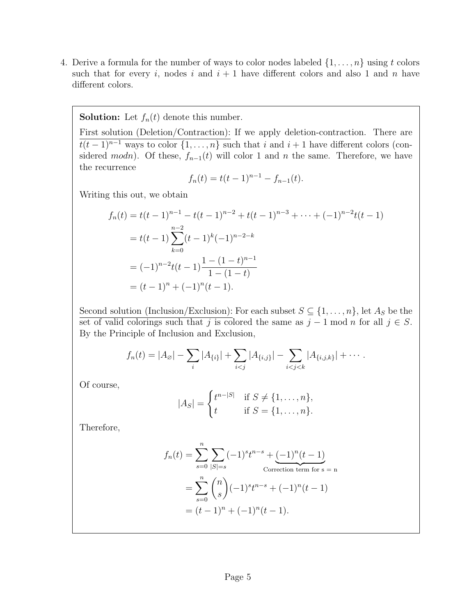4. Derive a formula for the number of ways to color nodes labeled  $\{1, \ldots, n\}$  using t colors such that for every i, nodes i and  $i + 1$  have different colors and also 1 and n have different colors.

## **Solution:** Let  $f_n(t)$  denote this number.

First solution (Deletion/Contraction): If we apply deletion-contraction. There are  $\overline{t(t-1)^{n-1}}$  ways to color  $\{1,\ldots,n\}$  such that i and  $i+1$  have different colors (considered modn). Of these,  $f_{n-1}(t)$  will color 1 and n the same. Therefore, we have the recurrence

$$
f_n(t) = t(t-1)^{n-1} - f_{n-1}(t).
$$

Writing this out, we obtain

$$
f_n(t) = t(t-1)^{n-1} - t(t-1)^{n-2} + t(t-1)^{n-3} + \dots + (-1)^{n-2}t(t-1)
$$
  
=  $t(t-1)\sum_{k=0}^{n-2} (t-1)^k (-1)^{n-2-k}$   
=  $(-1)^{n-2}t(t-1)\frac{1 - (1-t)^{n-1}}{1 - (1-t)}$   
=  $(t-1)^n + (-1)^n(t-1).$ 

Second solution (Inclusion/Exclusion): For each subset  $S \subseteq \{1, \ldots, n\}$ , let  $A_S$  be the set of valid colorings such that j is colored the same as  $j - 1 \mod n$  for all  $j \in S$ . By the Principle of Inclusion and Exclusion,

$$
f_n(t) = |A_{\emptyset}| - \sum_i |A_{\{i\}}| + \sum_{i < j} |A_{\{i,j\}}| - \sum_{i < j < k} |A_{\{i,j,k\}}| + \cdots
$$

Of course,

$$
|A_S| = \begin{cases} t^{n-|S|} & \text{if } S \neq \{1, ..., n\}, \\ t & \text{if } S = \{1, ..., n\}. \end{cases}
$$

Therefore,

$$
f_n(t) = \sum_{s=0}^n \sum_{|S|=s} (-1)^s t^{n-s} + \underbrace{(-1)^n (t-1)}_{\text{Correction term for } s \text{ = n}}
$$

$$
= \sum_{s=0}^n \binom{n}{s} (-1)^s t^{n-s} + (-1)^n (t-1)
$$

$$
= (t-1)^n + (-1)^n (t-1).
$$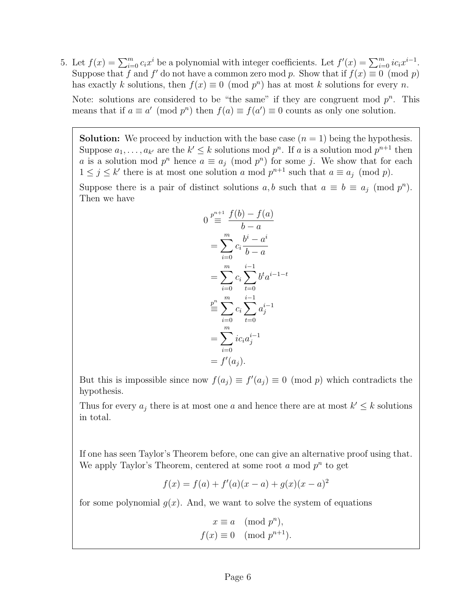5. Let  $f(x) = \sum_{i=0}^{m} c_i x^i$  be a polynomial with integer coefficients. Let  $f'(x) = \sum_{i=0}^{m} i c_i x^{i-1}$ . Suppose that f and f' do not have a common zero mod p. Show that if  $f(x) \equiv 0 \pmod{p}$ has exactly k solutions, then  $f(x) \equiv 0 \pmod{p^n}$  has at most k solutions for every n. Note: solutions are considered to be "the same" if they are congruent mod  $p^n$ . This means that if  $a \equiv a' \pmod{p^n}$  then  $f(a) \equiv f(a') \equiv 0$  counts as only one solution.

**Solution:** We proceed by induction with the base case  $(n = 1)$  being the hypothesis. Suppose  $a_1, \ldots, a_{k'}$  are the  $k' \leq k$  solutions mod  $p^n$ . If a is a solution mod  $p^{n+1}$  then a is a solution mod  $p^n$  hence  $a \equiv a_j \pmod{p^n}$  for some j. We show that for each  $1 \leq j \leq k'$  there is at most one solution a mod  $p^{n+1}$  such that  $a \equiv a_j \pmod{p}$ . Suppose there is a pair of distinct solutions  $a, b$  such that  $a \equiv b \equiv a_j \pmod{p^n}$ .

Then we have

$$
0 \stackrel{p^{n+1}}{=} \frac{f(b) - f(a)}{b - a}
$$
  
= 
$$
\sum_{i=0}^{m} c_i \frac{b^i - a^i}{b - a}
$$
  
= 
$$
\sum_{i=0}^{m} c_i \sum_{t=0}^{i-1} b^t a^{i-1-t}
$$
  

$$
\stackrel{p^n}{=} \sum_{i=0}^{m} c_i \sum_{t=0}^{i-1} a_j^{i-1}
$$
  
= 
$$
\sum_{i=0}^{m} ic_i a_j^{i-1}
$$
  
= 
$$
f'(a_j).
$$

But this is impossible since now  $f(a_j) \equiv f'(a_j) \equiv 0 \pmod{p}$  which contradicts the hypothesis.

Thus for every  $a_j$  there is at most one a and hence there are at most  $k' \leq k$  solutions in total.

If one has seen Taylor's Theorem before, one can give an alternative proof using that. We apply Taylor's Theorem, centered at some root  $a \mod p^n$  to get

$$
f(x) = f(a) + f'(a)(x - a) + g(x)(x - a)^2
$$

for some polynomial  $g(x)$ . And, we want to solve the system of equations

$$
x \equiv a \pmod{p^n},
$$
  

$$
f(x) \equiv 0 \pmod{p^{n+1}}.
$$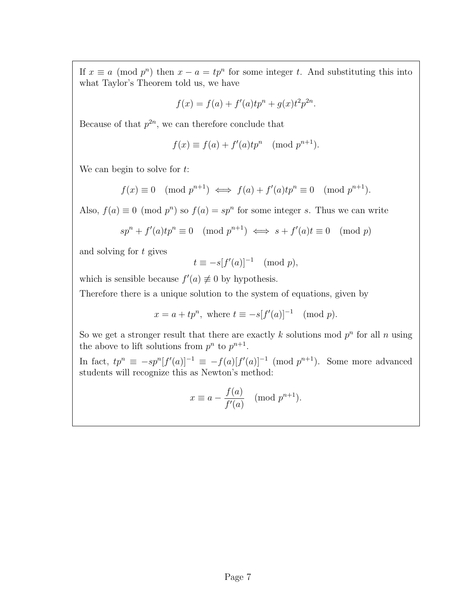If  $x \equiv a \pmod{p^n}$  then  $x - a = tp^n$  for some integer t. And substituting this into what Taylor's Theorem told us, we have

$$
f(x) = f(a) + f'(a)tp^{n} + g(x)t^{2}p^{2n}.
$$

Because of that  $p^{2n}$ , we can therefore conclude that

$$
f(x) \equiv f(a) + f'(a)tp^n \pmod{p^{n+1}}.
$$

We can begin to solve for  $t$ :

$$
f(x) \equiv 0 \pmod{p^{n+1}} \iff f(a) + f'(a)tp^n \equiv 0 \pmod{p^{n+1}}.
$$

Also,  $f(a) \equiv 0 \pmod{p^n}$  so  $f(a) = sp^n$  for some integer s. Thus we can write

$$
sp^n + f'(a)tp^n \equiv 0 \pmod{p^{n+1}} \iff s + f'(a)t \equiv 0 \pmod{p}
$$

and solving for t gives

$$
t \equiv -s[f'(a)]^{-1} \pmod{p},
$$

which is sensible because  $f'(a) \neq 0$  by hypothesis.

Therefore there is a unique solution to the system of equations, given by

$$
x = a + tp^n, \text{ where } t \equiv -s[f'(a)]^{-1} \pmod{p}.
$$

So we get a stronger result that there are exactly k solutions mod  $p^n$  for all n using the above to lift solutions from  $p^n$  to  $p^{n+1}$ .

In fact,  $tp^n \equiv -sp^n[f'(a)]^{-1} \equiv -f(a)[f'(a)]^{-1}$  (mod  $p^{n+1}$ ). Some more advanced students will recognize this as Newton's method:

$$
x \equiv a - \frac{f(a)}{f'(a)} \pmod{p^{n+1}}.
$$